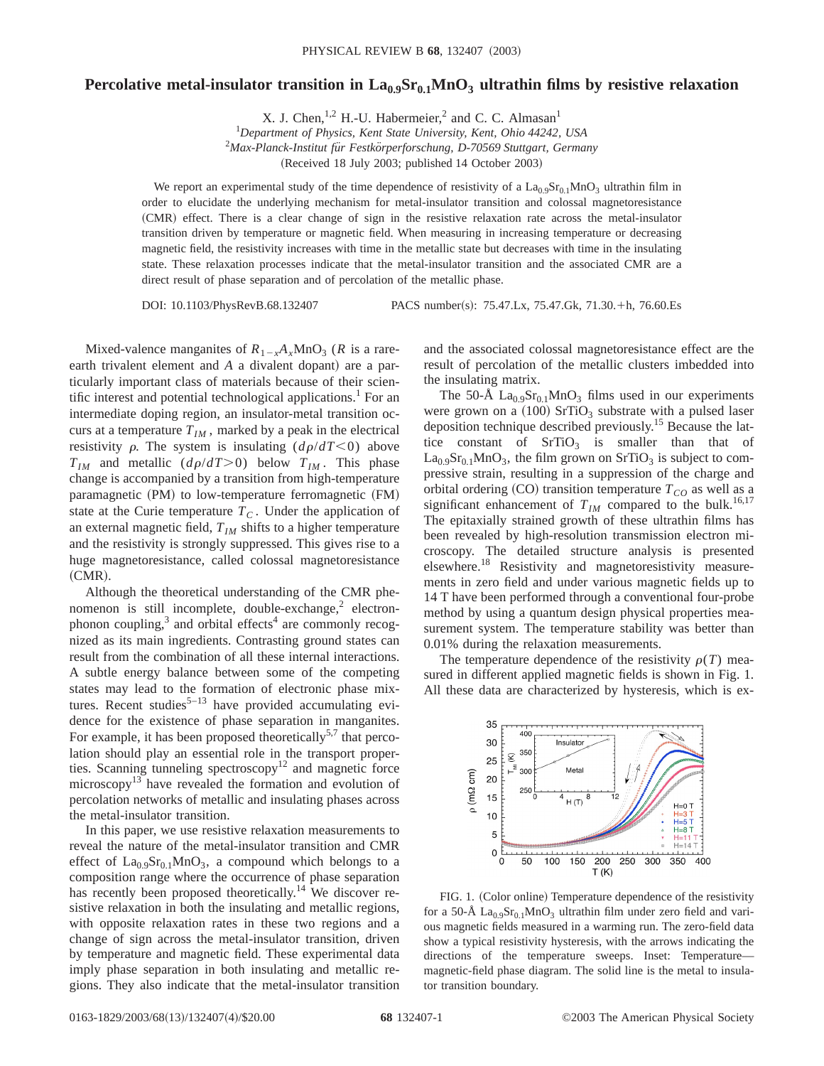## **Percolative metal-insulator transition in**  $\text{La}_{0.9}\text{Sr}_{0.1}\text{MnO}_3$  **ultrathin films by resistive relaxation**

X. J. Chen,  $^{1,2}$  H.-U. Habermeier, <sup>2</sup> and C. C. Almasan<sup>1</sup>

1 *Department of Physics, Kent State University, Kent, Ohio 44242, USA* 2 *Max-Planck-Institut fu¨r Festko¨rperforschung, D-70569 Stuttgart, Germany* (Received 18 July 2003; published 14 October 2003)

We report an experimental study of the time dependence of resistivity of a  $La<sub>0.9</sub>Sr<sub>0.1</sub>MnO<sub>3</sub>$  ultrathin film in order to elucidate the underlying mechanism for metal-insulator transition and colossal magnetoresistance ~CMR! effect. There is a clear change of sign in the resistive relaxation rate across the metal-insulator transition driven by temperature or magnetic field. When measuring in increasing temperature or decreasing magnetic field, the resistivity increases with time in the metallic state but decreases with time in the insulating state. These relaxation processes indicate that the metal-insulator transition and the associated CMR are a direct result of phase separation and of percolation of the metallic phase.

DOI: 10.1103/PhysRevB.68.132407 PACS number(s): 75.47.Lx, 75.47.Gk, 71.30.+h, 76.60.Es

Mixed-valence manganites of  $R_{1-x}A_xMnO_3$  (*R* is a rareearth trivalent element and *A* a divalent dopant) are a particularly important class of materials because of their scientific interest and potential technological applications.<sup>1</sup> For an intermediate doping region, an insulator-metal transition occurs at a temperature  $T_{IM}$ , marked by a peak in the electrical resistivity  $\rho$ . The system is insulating  $(d\rho/dT \le 0)$  above  $T_{IM}$  and metallic  $(d\rho/dT>0)$  below  $T_{IM}$ . This phase change is accompanied by a transition from high-temperature paramagnetic (PM) to low-temperature ferromagnetic (FM) state at the Curie temperature  $T_c$ . Under the application of an external magnetic field,  $T_{IM}$  shifts to a higher temperature and the resistivity is strongly suppressed. This gives rise to a huge magnetoresistance, called colossal magnetoresistance  $(CMR).$ 

Although the theoretical understanding of the CMR phenomenon is still incomplete, double-exchange, $2$  electronphonon coupling, $3$  and orbital effects<sup>4</sup> are commonly recognized as its main ingredients. Contrasting ground states can result from the combination of all these internal interactions. A subtle energy balance between some of the competing states may lead to the formation of electronic phase mixtures. Recent studies<sup>5–13</sup> have provided accumulating evidence for the existence of phase separation in manganites. For example, it has been proposed theoretically<sup>5,7</sup> that percolation should play an essential role in the transport properties. Scanning tunneling spectroscopy<sup>12</sup> and magnetic force microscopy $13$ <sup>-</sup> have revealed the formation and evolution of percolation networks of metallic and insulating phases across the metal-insulator transition.

In this paper, we use resistive relaxation measurements to reveal the nature of the metal-insulator transition and CMR effect of  $La<sub>0.9</sub>Sr<sub>0.1</sub>MnO<sub>3</sub>$ , a compound which belongs to a composition range where the occurrence of phase separation has recently been proposed theoretically.<sup>14</sup> We discover resistive relaxation in both the insulating and metallic regions, with opposite relaxation rates in these two regions and a change of sign across the metal-insulator transition, driven by temperature and magnetic field. These experimental data imply phase separation in both insulating and metallic regions. They also indicate that the metal-insulator transition and the associated colossal magnetoresistance effect are the result of percolation of the metallic clusters imbedded into the insulating matrix.

The 50-Å  $La<sub>0.9</sub>Sr<sub>0.1</sub>MnO<sub>3</sub>$  films used in our experiments were grown on a  $(100)$  SrTiO<sub>3</sub> substrate with a pulsed laser deposition technique described previously.15 Because the lattice constant of  $SrTiO<sub>3</sub>$  is smaller than that of  $La_{0.9}Sr_{0.1}MnO_3$ , the film grown on SrTiO<sub>3</sub> is subject to compressive strain, resulting in a suppression of the charge and orbital ordering  $(CO)$  transition temperature  $T_{CO}$  as well as a significant enhancement of  $T_{IM}$  compared to the bulk.<sup>16,17</sup> The epitaxially strained growth of these ultrathin films has been revealed by high-resolution transmission electron microscopy. The detailed structure analysis is presented elsewhere.18 Resistivity and magnetoresistivity measurements in zero field and under various magnetic fields up to 14 T have been performed through a conventional four-probe method by using a quantum design physical properties measurement system. The temperature stability was better than 0.01% during the relaxation measurements.

The temperature dependence of the resistivity  $\rho(T)$  measured in different applied magnetic fields is shown in Fig. 1. All these data are characterized by hysteresis, which is ex-



FIG. 1. (Color online) Temperature dependence of the resistivity for a 50-Å  $La<sub>0.9</sub>Sr<sub>0.1</sub>MnO<sub>3</sub>$  ultrathin film under zero field and various magnetic fields measured in a warming run. The zero-field data show a typical resistivity hysteresis, with the arrows indicating the directions of the temperature sweeps. Inset: Temperature magnetic-field phase diagram. The solid line is the metal to insulator transition boundary.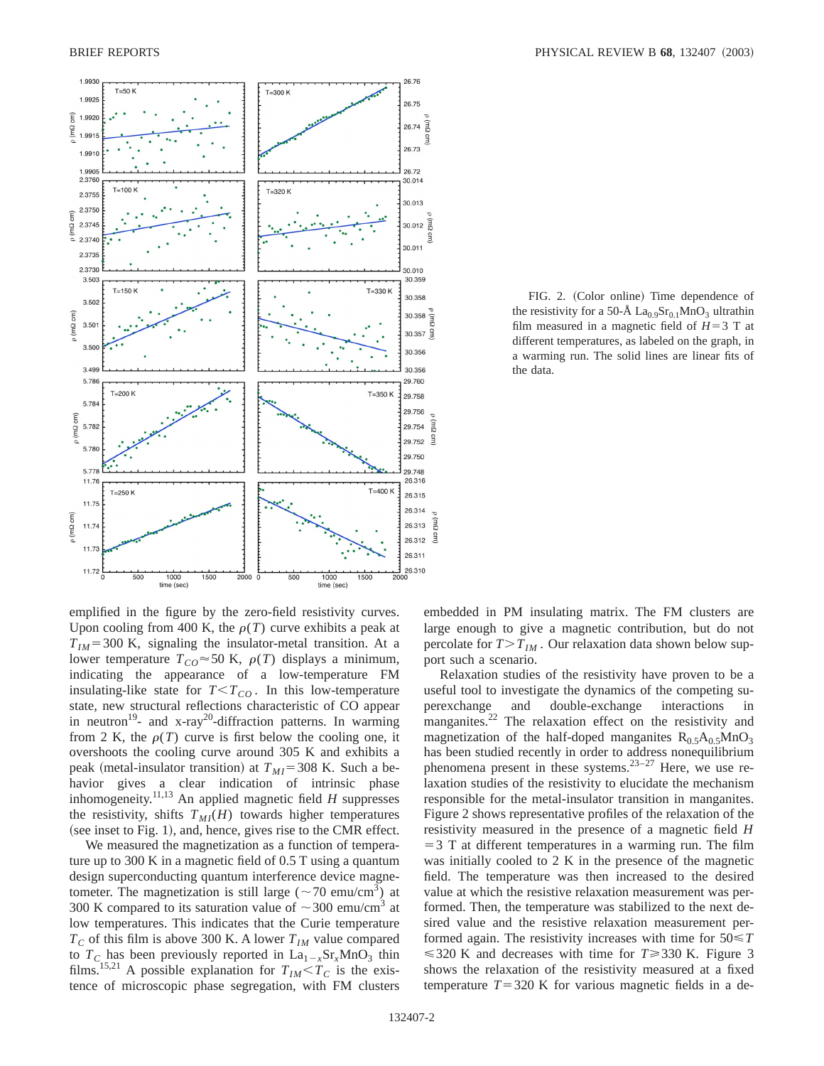

FIG. 2. (Color online) Time dependence of the resistivity for a 50-Å  $\text{La}_{0.9}\text{Sr}_{0.1}\text{MnO}_3$  ultrathin film measured in a magnetic field of  $H=3$  T at different temperatures, as labeled on the graph, in a warming run. The solid lines are linear fits of the data.

emplified in the figure by the zero-field resistivity curves. Upon cooling from 400 K, the  $\rho(T)$  curve exhibits a peak at  $T_{IM}$ =300 K, signaling the insulator-metal transition. At a lower temperature  $T_{CO} \approx 50$  K,  $\rho(T)$  displays a minimum, indicating the appearance of a low-temperature FM insulating-like state for  $T < T_{CO}$ . In this low-temperature state, new structural reflections characteristic of CO appear in neutron<sup>19</sup>- and x-ray<sup>20</sup>-diffraction patterns. In warming from 2 K, the  $\rho(T)$  curve is first below the cooling one, it overshoots the cooling curve around 305 K and exhibits a peak (metal-insulator transition) at  $T_{MI}$ =308 K. Such a behavior gives a clear indication of intrinsic phase inhomogeneity.<sup>11,13</sup> An applied magnetic field  $H$  suppresses the resistivity, shifts  $T_{MI}(H)$  towards higher temperatures  $($ see inset to Fig. 1 $)$ , and, hence, gives rise to the CMR effect.

We measured the magnetization as a function of temperature up to 300 K in a magnetic field of 0.5 T using a quantum design superconducting quantum interference device magnetometer. The magnetization is still large ( $\sim$  70 emu/cm<sup>3</sup>) at 300 K compared to its saturation value of  $\sim$ 300 emu/cm<sup>3</sup> at low temperatures. This indicates that the Curie temperature  $T_c$  of this film is above 300 K. A lower  $T_{IM}$  value compared to  $T_c$  has been previously reported in  $La_{1-x}Sr_xMnO_3$  thin films.<sup>15,21</sup> A possible explanation for  $T_{IM} < \hat{T}_C$  is the existence of microscopic phase segregation, with FM clusters embedded in PM insulating matrix. The FM clusters are large enough to give a magnetic contribution, but do not percolate for  $T>T_{IM}$ . Our relaxation data shown below support such a scenario.

Relaxation studies of the resistivity have proven to be a useful tool to investigate the dynamics of the competing superexchange and double-exchange interactions in manganites.<sup>22</sup> The relaxation effect on the resistivity and magnetization of the half-doped manganites  $R_{0.5}A_{0.5}MnO_3$ has been studied recently in order to address nonequilibrium phenomena present in these systems. $23-27$  Here, we use relaxation studies of the resistivity to elucidate the mechanism responsible for the metal-insulator transition in manganites. Figure 2 shows representative profiles of the relaxation of the resistivity measured in the presence of a magnetic field *H*  $=$  3 T at different temperatures in a warming run. The film was initially cooled to 2 K in the presence of the magnetic field. The temperature was then increased to the desired value at which the resistive relaxation measurement was performed. Then, the temperature was stabilized to the next desired value and the resistive relaxation measurement performed again. The resistivity increases with time for 50<*T*  $\leq$  320 K and decreases with time for *T* $\geq$  330 K. Figure 3 shows the relaxation of the resistivity measured at a fixed temperature  $T=320$  K for various magnetic fields in a de-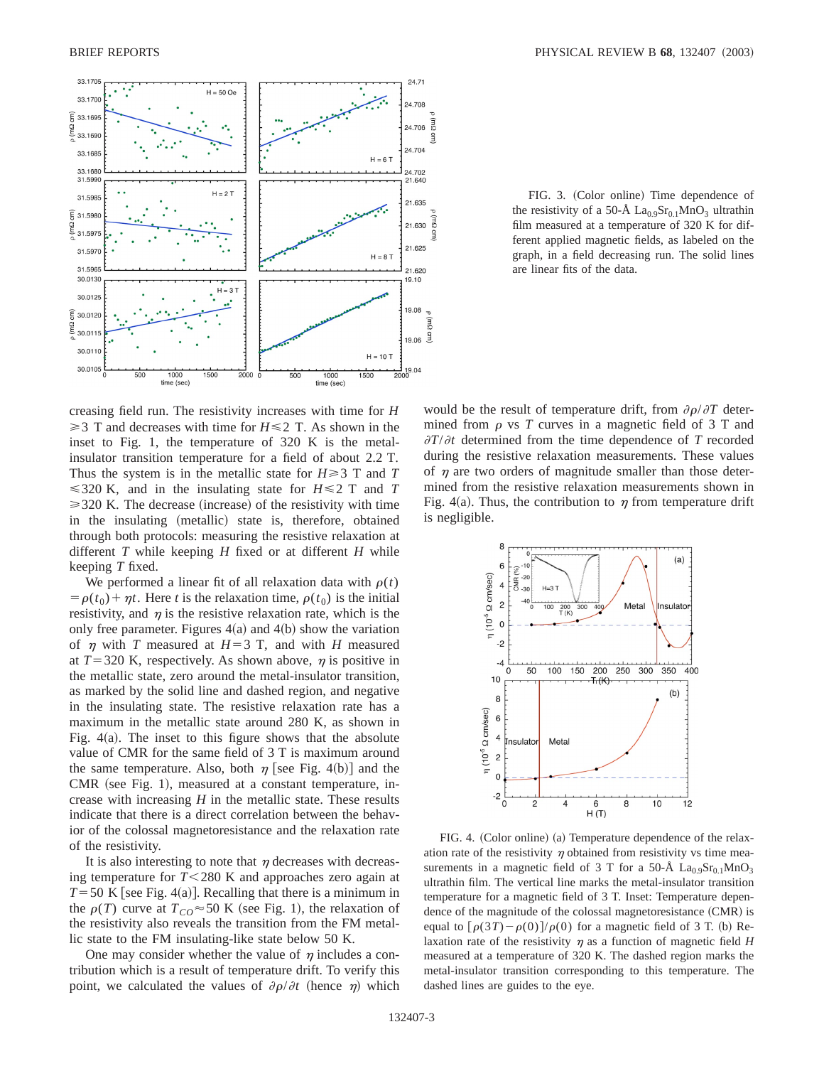

FIG. 3. (Color online) Time dependence of the resistivity of a 50-Å  $\text{La}_{0.9}\text{Sr}_{0.1}\text{MnO}_3$  ultrathin film measured at a temperature of 320 K for different applied magnetic fields, as labeled on the graph, in a field decreasing run. The solid lines are linear fits of the data.

creasing field run. The resistivity increases with time for *H*  $\geq$  3 T and decreases with time for *H*  $\leq$  2 T. As shown in the inset to Fig. 1, the temperature of 320 K is the metalinsulator transition temperature for a field of about 2.2 T. Thus the system is in the metallic state for  $H \ge 3$  T and T  $\leq$  320 K, and in the insulating state for *H* $\leq$  2 T and *T*  $\geq$  320 K. The decrease (increase) of the resistivity with time in the insulating (metallic) state is, therefore, obtained through both protocols: measuring the resistive relaxation at different *T* while keeping *H* fixed or at different *H* while keeping *T* fixed.

We performed a linear fit of all relaxation data with  $\rho(t)$  $= \rho(t_0) + \eta t$ . Here *t* is the relaxation time,  $\rho(t_0)$  is the initial resistivity, and  $\eta$  is the resistive relaxation rate, which is the only free parameter. Figures  $4(a)$  and  $4(b)$  show the variation of  $\eta$  with *T* measured at  $H=3$  T, and with *H* measured at  $T=320$  K, respectively. As shown above,  $\eta$  is positive in the metallic state, zero around the metal-insulator transition, as marked by the solid line and dashed region, and negative in the insulating state. The resistive relaxation rate has a maximum in the metallic state around 280 K, as shown in Fig.  $4(a)$ . The inset to this figure shows that the absolute value of CMR for the same field of 3 T is maximum around the same temperature. Also, both  $\eta$  [see Fig. 4(b)] and the  $CMR$  (see Fig. 1), measured at a constant temperature, increase with increasing  $H$  in the metallic state. These results indicate that there is a direct correlation between the behavior of the colossal magnetoresistance and the relaxation rate of the resistivity.

It is also interesting to note that  $\eta$  decreases with decreasing temperature for  $T < 280$  K and approaches zero again at  $T=50$  K [see Fig. 4(a)]. Recalling that there is a minimum in the  $\rho(T)$  curve at  $T_{CO} \approx 50$  K (see Fig. 1), the relaxation of the resistivity also reveals the transition from the FM metallic state to the FM insulating-like state below 50 K.

One may consider whether the value of  $\eta$  includes a contribution which is a result of temperature drift. To verify this point, we calculated the values of  $\partial \rho / \partial t$  (hence  $\eta$ ) which would be the result of temperature drift, from  $\partial \rho / \partial T$  determined from  $\rho$  vs *T* curves in a magnetic field of 3 T and  $\partial T/\partial t$  determined from the time dependence of *T* recorded during the resistive relaxation measurements. These values of  $\eta$  are two orders of magnitude smaller than those determined from the resistive relaxation measurements shown in Fig. 4(a). Thus, the contribution to  $\eta$  from temperature drift is negligible.



FIG. 4. (Color online) (a) Temperature dependence of the relaxation rate of the resistivity  $\eta$  obtained from resistivity vs time measurements in a magnetic field of 3 T for a 50-Å  $La_0 \, \mathrm{s} s_0 \, \mathrm{i} \, \mathrm{MnO_3}$ ultrathin film. The vertical line marks the metal-insulator transition temperature for a magnetic field of 3 T. Inset: Temperature dependence of the magnitude of the colossal magnetoresistance  $(CMR)$  is equal to  $\left[\rho(3T) - \rho(0)\right]/\rho(0)$  for a magnetic field of 3 T. (b) Relaxation rate of the resistivity  $\eta$  as a function of magnetic field *H* measured at a temperature of 320 K. The dashed region marks the metal-insulator transition corresponding to this temperature. The dashed lines are guides to the eye.